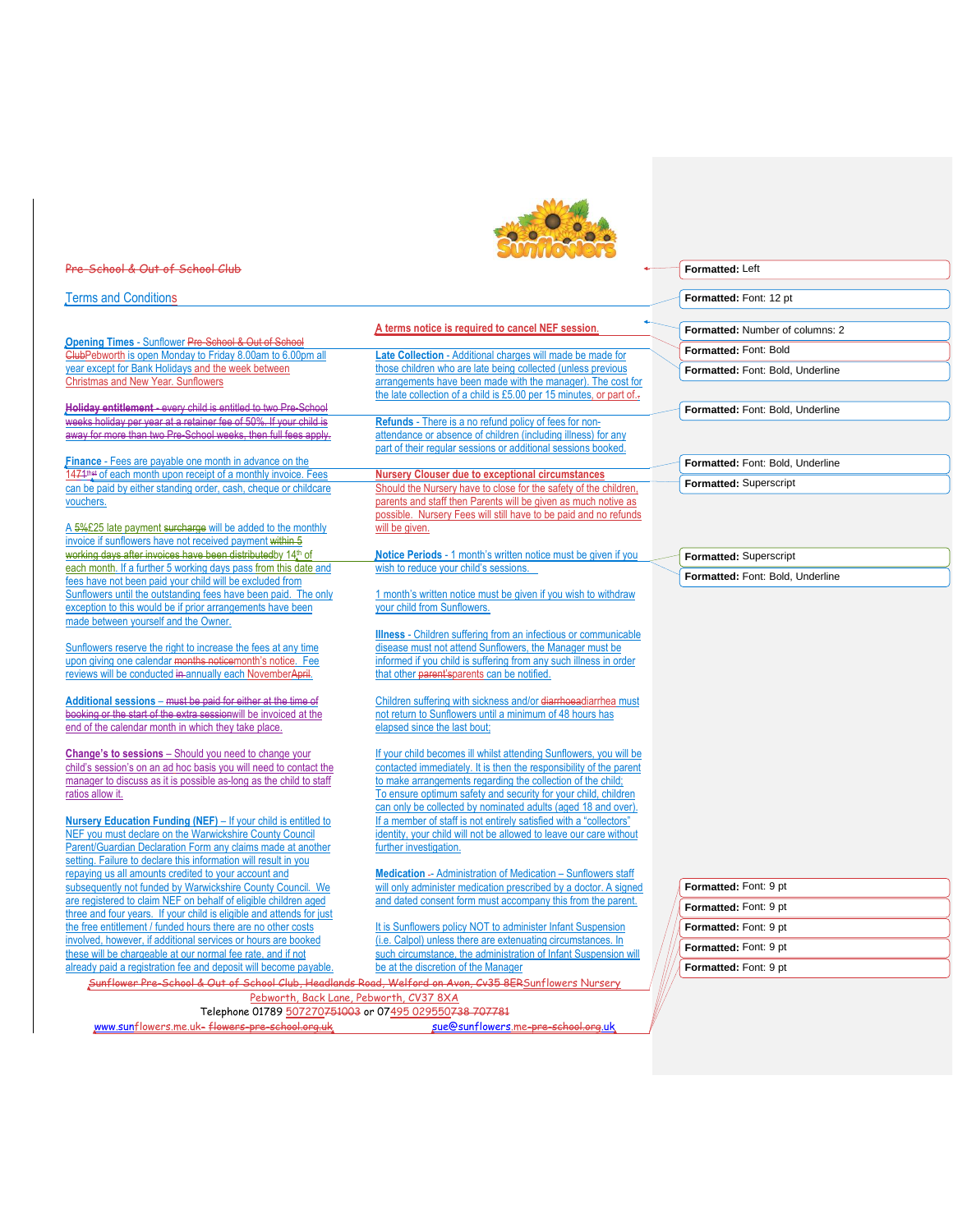### Terms and Conditions

**Opening Times** - Sunflower Pre-School & Out of School ClubPebworth is open Monday to Friday 8.00am to 6.00pm all year except for Bank Holidays and the week between Christmas and New Year. Sunflowers

**Holiday entitlement** - every child is entitled to two Pre-School weeks holiday per year at a retainer fee of 50%. If your child is away for more than two Pre-School weeks, then full fees apply.

**Finance** - Fees are payable one month in advance on the 1471<sup>thst</sup> of each month upon receipt of a monthly invoice. Fees can be paid by either standing order, cash, cheque or childcare vouchers.

A 5%£25 late payment surcharge will be added to the monthly invoice if sunflowers have not received payment within 5 working days after invoices have been distributedby 14th of each month. If a further 5 working days pass from this date and fees have not been paid your child will be excluded from Sunflowers until the outstanding fees have been paid. The only exception to this would be if prior arrangements have been made between yourself and the Owner.

Sunflowers reserve the right to increase the fees at any time upon giving one calendar months noticemonth's notice. Fee reviews will be conducted in annually each NovemberApril.

**Additional sessions** – must be paid for either at the time of booking or the start of the extra sessionwill be invoiced at the end of the calendar month in which they take place.

**Change's to sessions** – Should you need to change your child's session's on an ad hoc basis you will need to contact the manager to discuss as it is possible as-long as the child to staff ratios allow it.

**Nursery Education Funding (NEF)** – If your child is entitled to NEF you must declare on the Warwickshire County Council **Parent/Guardian Declaration Form any claims made at another** setting. Failure to declare this information will result in you repaying us all amounts credited to your account and subsequently not funded by Warwickshire County Council. We are registered to claim NEF on behalf of eligible children aged three and four years. If your child is eligible and attends for just the free entitlement / funded hours there are no other costs involved, however, if additional services or hours are booked these will be chargeable at our normal fee rate, and if not already paid a registration fee and deposit will become payable. **A terms notice is required to cancel NEF session**.

**Late Collection** - Additional charges will made be made for those children who are late being collected (unless previous arrangements have been made with the manager). The cost for the late collection of a child is £5.00 per 15 minutes, or part of.

**Refunds** - There is a no refund policy of fees for nonattendance or absence of children (including illness) for any part of their regular sessions or additional sessions booked.

**Nursery Clouser due to exceptional circumstances** Should the Nursery have to close for the safety of the children, parents and staff then Parents will be given as much notive as possible. Nursery Fees will still have to be paid and no refunds will be given.

**Notice Periods** - 1 month's written notice must be given if you wish to reduce your child's sessions.

1 month's written notice must be given if you wish to withdraw your child from Sunflowers.

**Illness** - Children suffering from an infectious or communicable disease must not attend Sunflowers, the Manager must be informed if you child is suffering from any such illness in order that other parent'sparents can be notified.

Children suffering with sickness and/or diarrhoeadiarrhea must not return to Sunflowers until a minimum of 48 hours has elapsed since the last bout;

If your child becomes ill whilst attending Sunflowers, you will be contacted immediately. It is then the responsibility of the parent to make arrangements regarding the collection of the child; To ensure optimum safety and security for your child, children can only be collected by nominated adults (aged 18 and over). If a member of staff is not entirely satisfied with a "collectors" identity, your child will not be allowed to leave our care without further investigation.

**Medication -- Administration of Medication -- Sunflowers staff** will only administer medication prescribed by a doctor. A signed and dated consent form must accompany this from the parent.

It is Sunflowers policy NOT to administer Infant Suspension (i.e. Calpol) unless there are extenuating circumstances. In such circumstance, the administration of Infant Suspension will be at the discretion of the Manager

Sunflower Pre-School & Out of School Club, Headlands Road, Welford on Avon, Cv35 8ERSunflowers Nursery Pebworth, Back Lane, Pebworth, CV37 8XA

Telephone 01789 507270751003 or 07495 029550738 707781 www.sunflowers.me.uk- <del>flowers-pre-school.org.uk</del> sue@sunflowers.me-<del>pre-school.org</del>.uk **Formatted:** Font: 12 pt

**Formatted:** Number of columns: 2

**Formatted:** Font: Bold

**Formatted:** Left

 $\leftarrow$ 

**Formatted:** Font: Bold, Underline

**Formatted:** Font: Bold, Underline

**Formatted:** Font: Bold, Underline **Formatted:** Superscript

**Formatted:** Superscript **Formatted:** Font: Bold, Underline

| Formatted: Font: 9 pt |
|-----------------------|
| Formatted: Font: 9 pt |
| Formatted: Font: 9 pt |
| Formatted: Font: 9 pt |
| Formatted: Font: 9 pt |

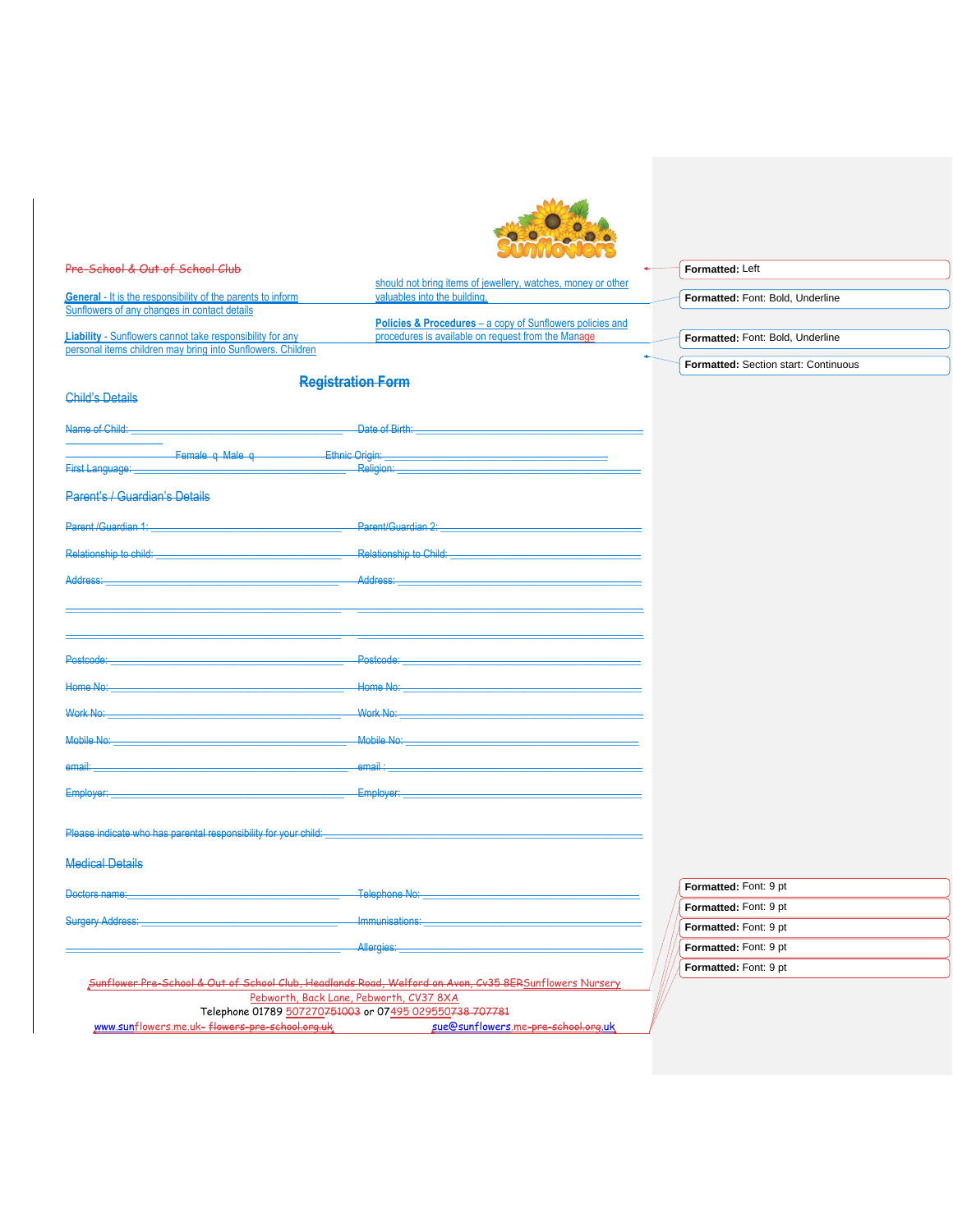|                                                                    | <u> De la companya de la companya de la companya de la companya de la companya de la companya de la companya de l</u> |                                  |
|--------------------------------------------------------------------|-----------------------------------------------------------------------------------------------------------------------|----------------------------------|
| Pre-School & Out of School Club                                    |                                                                                                                       | Formatted: Left                  |
|                                                                    | should not bring items of jewellery, watches, money or other                                                          |                                  |
| <b>General</b> - It is the responsibility of the parents to inform | valuables into the building.                                                                                          | Formatted: Font: Bold, Underline |
| Sunflowers of any changes in contact details                       |                                                                                                                       |                                  |
|                                                                    | <b>Policies &amp; Procedures</b> – a copy of Sunflowers policies and                                                  |                                  |
| Liability - Sunflowers cannot take responsibility for any          | procedures is available on request from the Manage                                                                    | Formatted: Font: Bold. Underline |

**d: Font: Bold, Underline** 

**Formatted:** Section start: Continuous

| <b>Child's Details</b> |  |
|------------------------|--|

personal items children may bring into Sunflowers. Children

**Registration Form**

|                               | Name of Child: Name of Child:                                                                                                                                                                                                 | Date of Birth: Wallet Birth Street And The Contract of Birth:                                                                                                                                                                                                                                                                                                                                                                                                          |
|-------------------------------|-------------------------------------------------------------------------------------------------------------------------------------------------------------------------------------------------------------------------------|------------------------------------------------------------------------------------------------------------------------------------------------------------------------------------------------------------------------------------------------------------------------------------------------------------------------------------------------------------------------------------------------------------------------------------------------------------------------|
|                               | First Language: Manager Strategy and Transaction and Transaction and Transaction and Transaction and Transaction                                                                                                              | <u> Alexander Alexander (Alexander Alexander Alexander Alexander Alexander Alexander Alexander Alexander Alexander Alexander Alexander Alexander Alexander Alexander Alexander Alexander Alexander Alexander Alexander Alexander</u><br>Religion: New York Contract Contract Contract Contract Contract Contract Contract Contract Contract Contract Contract Contract Contract Contract Contract Contract Contract Contract Contract Contract Contract Contract Contr |
| Parent's / Guardian's Details |                                                                                                                                                                                                                               |                                                                                                                                                                                                                                                                                                                                                                                                                                                                        |
|                               | Parent / Guardian 1: New York Street Allen Street Allen Street Allen Street Allen Street Allen Street Allen                                                                                                                   | Parent/Guardian 2: Parent Control of Control of Control of Control of Control of Control of Control of Control of Control of Control of Control of Control of Control of Control of Control of Control of Control of Control o                                                                                                                                                                                                                                         |
|                               |                                                                                                                                                                                                                               |                                                                                                                                                                                                                                                                                                                                                                                                                                                                        |
|                               | Address: Andress: Address: Address: Address: Address: Address: Address: Address: Address: Address: A                                                                                                                          |                                                                                                                                                                                                                                                                                                                                                                                                                                                                        |
|                               |                                                                                                                                                                                                                               |                                                                                                                                                                                                                                                                                                                                                                                                                                                                        |
|                               | Postcode: New York Department of the Contract of the Contract of the Contract of the Contract of the Contract of the Contract of the Contract of the Contract of the Contract of the Contract of the Contract of the Contract | Postcode: New York State State State State State State State State State State State State State State State State State State State State State State State State State State State State State State State State State State                                                                                                                                                                                                                                         |
|                               | Home No: <b>Home No: Home No: Home No: Home No: Home No: </b>                                                                                                                                                                 | Home No: 2008 2009 2009 2009 2009 2009 2010 2021 2032 2040 2051 2052 2053 2054 2055 2056 2057 2058 2059 2059 20                                                                                                                                                                                                                                                                                                                                                        |
|                               |                                                                                                                                                                                                                               |                                                                                                                                                                                                                                                                                                                                                                                                                                                                        |
|                               |                                                                                                                                                                                                                               | Mobile No: Note and the contract of the contract of the contract of the contract of the contract of the contract of the contract of the contract of the contract of the contract of the contract of the contract of the contra                                                                                                                                                                                                                                         |
|                               |                                                                                                                                                                                                                               |                                                                                                                                                                                                                                                                                                                                                                                                                                                                        |
|                               |                                                                                                                                                                                                                               |                                                                                                                                                                                                                                                                                                                                                                                                                                                                        |

| <b>Medical Details</b> |  |
|------------------------|--|
|                        |  |

Doctors name:\_\_\_\_\_\_\_\_\_\_\_\_\_\_\_\_\_\_\_\_\_\_\_\_\_\_\_\_\_\_\_\_\_\_\_\_\_\_\_\_ Telephone No: \_\_\_\_\_\_\_\_\_\_\_\_\_\_\_\_\_\_\_\_\_\_\_\_\_\_\_\_\_\_\_\_\_\_\_\_\_\_\_\_\_

Surgery Address: \_\_\_\_\_\_\_\_\_\_\_\_\_\_\_\_\_\_\_\_\_\_\_\_\_\_\_\_\_\_\_\_\_\_\_\_\_ Immunisations: \_\_\_\_\_\_\_\_\_\_\_\_\_\_\_\_\_\_\_\_\_\_\_\_\_\_\_\_\_\_\_\_\_\_\_\_\_\_\_\_\_

**Formatted:** Font: 9 pt **Formatted:** Font: 9 pt **Formatted:** Font: 9 pt **Formatted:** Font: 9 pt **Formatted:** Font: 9 pt

Sunflower Pre-School & Out of School Club, Headlands Road, Welford on Avon, Cv35 8ERSunflowers Nursery Pebworth, Back Lane, Pebworth, CV37 8XA Telephone 01789 507270751003 or 07495 029550738 707781

\_\_\_\_\_\_\_\_\_\_\_\_\_\_\_\_\_\_\_\_\_\_\_\_\_\_\_\_\_\_\_\_\_\_\_\_\_\_\_\_\_\_\_\_\_\_\_\_\_\_\_\_ Allergies: \_\_\_\_\_\_\_\_\_\_\_\_\_\_\_\_\_\_\_\_\_\_\_\_\_\_\_\_\_\_\_\_\_\_\_\_\_\_\_\_\_\_\_\_\_\_

www.sunflowers.me.uk- <del>flowers-pre-school.org.uk</del> sue@sunflowers.me-<del>pre-school.org</del>.uk surflowers.me-pre-school.org.uk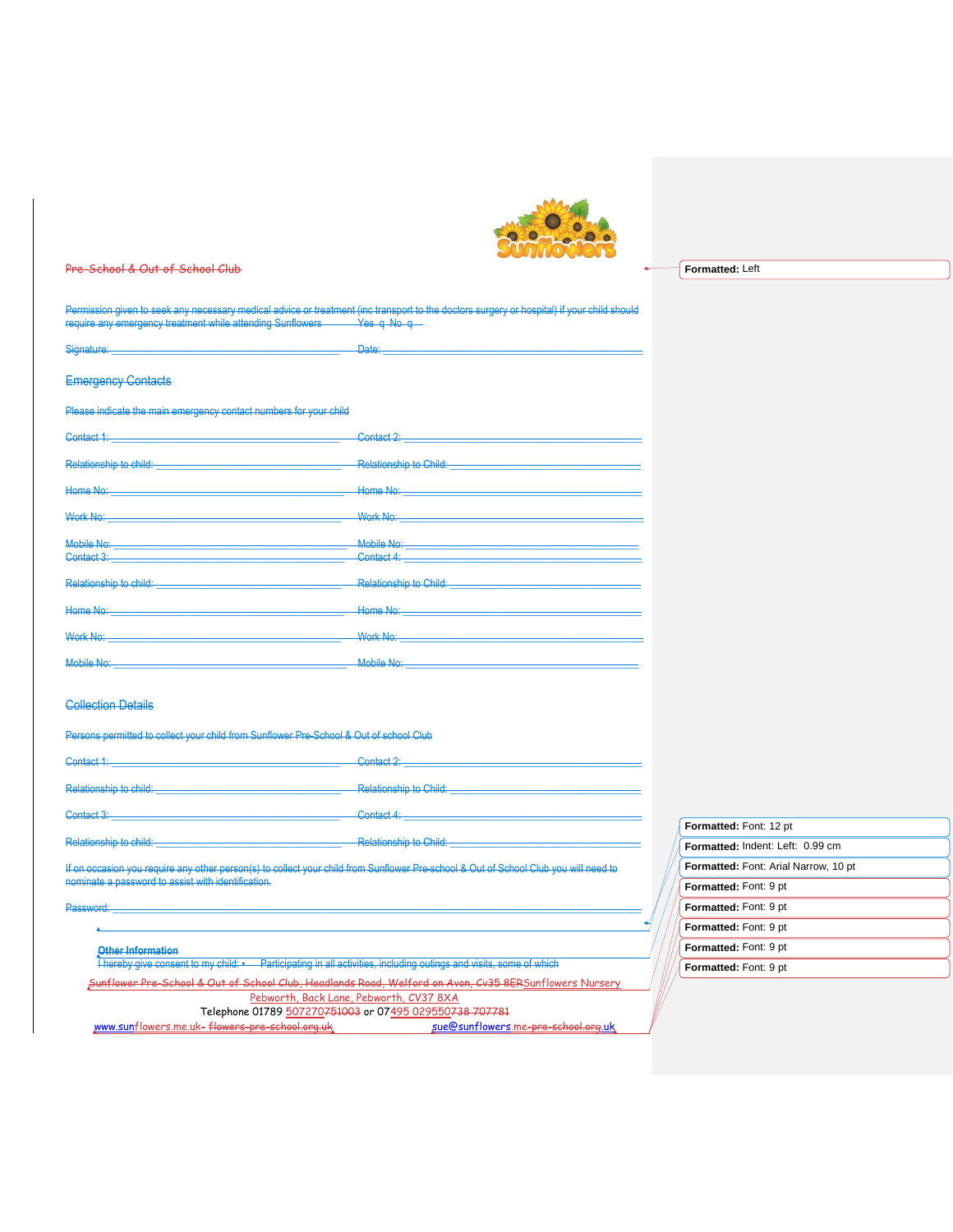

Permission given to seek any necessary medical advice or treatment (inc transport to the doctors surgery or hospital) if your child should require any emergency treatment while attending Sunflowers **Yes q No q** 

| Signature:<br><u> 1980 - Jan Samuel Barbara, martin a shekara tsara 1980 - An tsara 1980 - An tsara 1980 - An tsara 1980 - An t</u>                                                                                            | Date:                                                                                                                                                                                                                          |
|--------------------------------------------------------------------------------------------------------------------------------------------------------------------------------------------------------------------------------|--------------------------------------------------------------------------------------------------------------------------------------------------------------------------------------------------------------------------------|
| <b>Emergency Contacts</b>                                                                                                                                                                                                      |                                                                                                                                                                                                                                |
| Please indicate the main emergency contact numbers for your child                                                                                                                                                              |                                                                                                                                                                                                                                |
|                                                                                                                                                                                                                                | Contact 2: Express of the Contact of the Contact of the Contact of the Contact of the Contact of the Contact of the Contact of the Contact of the Contact of the Contact of the Contact of the Contact of the Contact of the C |
| Relationship to child: National Assembly and Assembly and Assembly and Assembly and Assembly and Assembly and                                                                                                                  | Relationship to Child: National Assembly and Assembly and Assembly and Assembly and Assembly and Assembly and                                                                                                                  |
|                                                                                                                                                                                                                                | Home No: Note and the Management of the Management of the Management of the Management of the Management of the Management of the Management of the Management of the Management of the Management of the Management of the Ma |
| Work No: Note that the contract of the contract of the contract of the contract of the contract of the contract of the contract of the contract of the contract of the contract of the contract of the contract of the contrac | Work No: Work No:                                                                                                                                                                                                              |
| Contact 3: 2004 2014 2015 2016 2017 2018 2019 2017 2018 2019 2019 2019 2019 2019 2017 2018 2019 2019 2019 2017                                                                                                                 | Mobile No: Note and the Mobile Note and the Mobile Note and the Mobile Note and the Mobile Note and the Mobile                                                                                                                 |
| Relationship to child: Network and Contact the Contact of the Contact of the Contact of the Contact of the Contact of the Contact of the Contact of the Contact of the Contact of the Contact of the Contact of the Contact of | Relationship to Child: Network and Child and Child and Child and Child and Child and Child and Child and Child                                                                                                                 |
| Home No: Note and the contract of the contract of the contract of the contract of the contract of the contract of the contract of the contract of the contract of the contract of the contract of the contract of the contract | Home No: <b>Home No: Home No: Home No: Home No: Home No: Home No: Home No: Home No: </b>                                                                                                                                       |
| Work No: 2008 2009 2010 2020 2021 2022 2023 2024 2022 2022 2023 2024 2022 2023 2024 2022 2023 2024 2022 2023 20                                                                                                                | Work No: Work No: Work No State Commission Commission Commission Commission                                                                                                                                                    |
| Mobile No: Note and the Mobile Note and the Mobile Note and the Mobile Note and the Mobile And the Mobile And                                                                                                                  | Mobile No:                                                                                                                                                                                                                     |

### Collection Details

### Persons permitted to collect your child from Sunflower Pre-School & Out of school Club

| Contact 1:             | Contact 2:                    |
|------------------------|-------------------------------|
| Relationship to child: | <b>Relationship to Child:</b> |
| Contact 3:             | Contact 4:                    |
| Relationship to child: | <b>Relationship to Child:</b> |

If on occasion you require any other person(s) to collect your child from Sunflower Pre-school & Out of School Club you will need to nominate a password to assist with identification.

Password: \_\_\_\_\_\_\_\_\_\_\_\_\_\_\_\_\_\_\_\_\_\_\_\_\_\_\_\_\_\_\_\_\_\_\_\_\_\_\_\_\_\_\_\_\_\_\_\_\_\_\_\_\_\_\_\_\_\_\_\_\_\_\_\_\_\_\_\_\_\_\_\_\_\_\_\_\_\_\_\_\_\_\_\_\_\_\_\_\_\_\_\_\_\_\_\_\_\_\_\_

**Other Information**

 $\begin{array}{c} \begin{array}{c} \bullet \end{array} & \begin{array}{c} \bullet \end{array} & \begin{array}{c} \bullet \end{array} & \begin{array}{c} \bullet \end{array} & \begin{array}{c} \bullet \end{array} & \begin{array}{c} \bullet \end{array} & \begin{array}{c} \bullet \end{array} & \begin{array}{c} \bullet \end{array} & \begin{array}{c} \bullet \end{array} & \begin{array}{c} \bullet \end{array} & \begin{array}{c} \bullet \end{array} & \begin{array}{c} \bullet \end{array} & \begin{array}{c} \bullet \end{array} & \begin{array}{c} \bullet \end{array} & \begin{$ 

I hereby give consent to my child: • Participating in all activities, including outings and visits, some of which

Sunflower Pre-School & Out of School Club, Headlands Road, Welford on Avon, Cv35 8ERSunflowers Nursery

Pebworth, Back Lane, Pebworth, CV37 8XA

Telephone 01789 507270751003 or 07<u>495 029550738 707781</u><br>K<del>- flowers-pre-school.org.uk</del> sue@sunflowers.me-<del>pre-school.org</del>.uk

www.sunflowers.me.uk- flowers-pre-school.org.uk

| Formatted: Font: 12 pt                      |
|---------------------------------------------|
| Formatted: Indent: Left: 0.99 cm            |
| <b>Formatted:</b> Font: Arial Narrow, 10 pt |
| <b>Formatted:</b> Font: 9 pt                |
| Formatted: Font: 9 pt                       |
| Formatted: Font: 9 pt                       |
| <b>Formatted:</b> Font: 9 pt                |
| <b>Formatted:</b> Font: 9 pt                |

**Formatted:** Left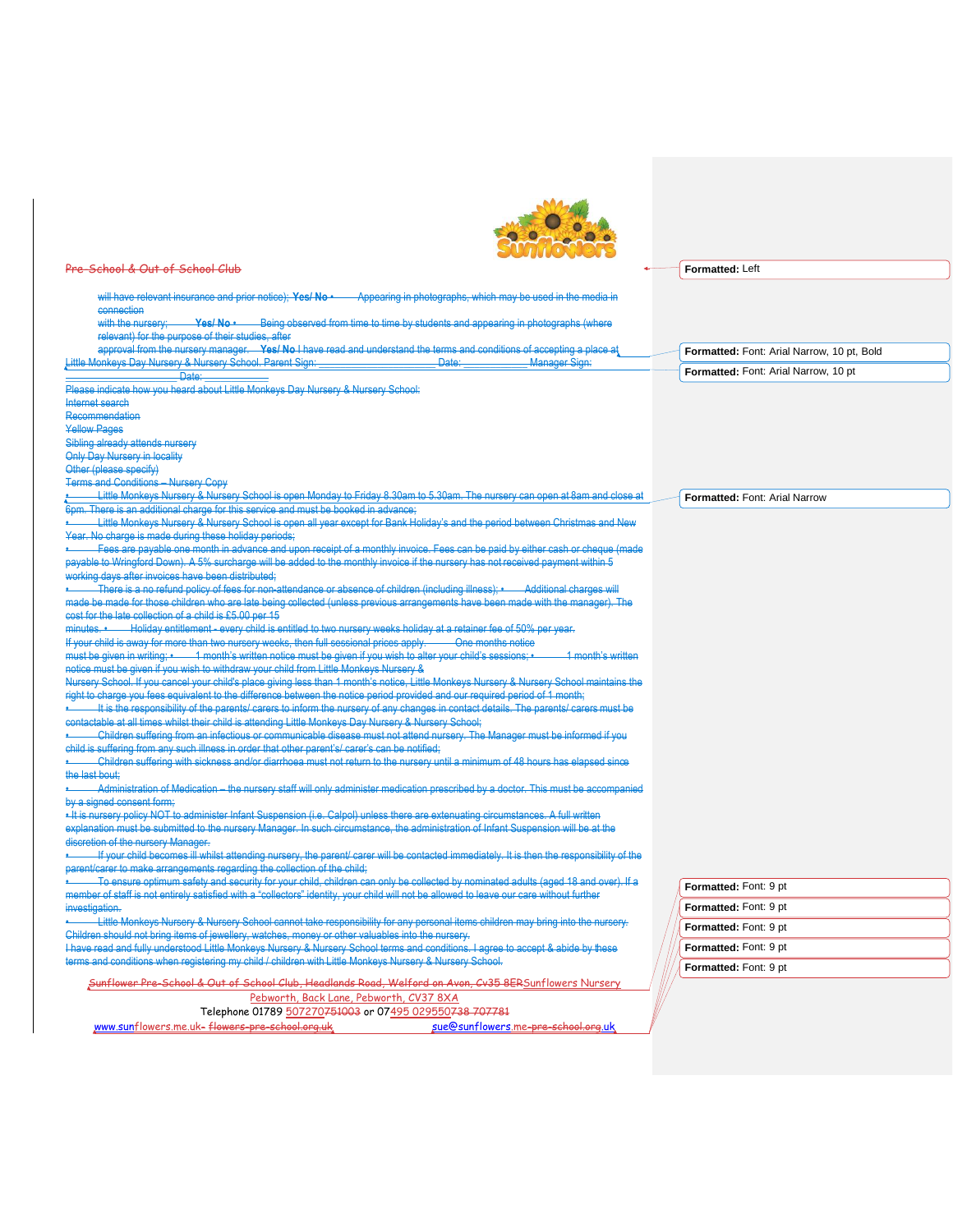

**Formatted:** Left

Sunflower Pre-School & Out of School Club, Headlands Road, Welford on Avon, Cv35 8ERSunflowers Nursery Pebworth, Back Lane, Pebworth, CV37 8XA Telephone 01789 507270751003 or 07495 029550738 707781 www.sunflowers.me.uk- <del>flowers-pre-school.org.uk</del> sue@sunflowers.me-<del>pre-school.org</del>.uk **Formatted:** Font: 9 pt **Formatted:** Font: 9 pt **Formatted:** Font: 9 pt **Formatted:** Font: 9 pt **Formatted:** Font: 9 pt will have relevant insurance and prior notice); Yes/ No · **Appearing in photographs, which may be used in the media in** connection with the nursery; **Yes/No •** Being observed from time to time by students and appearing in photographs (where relevant) for the purpose of their studies, after approval from the nursery manager. **Yes/ No** I have read and understand the terms and conditions of accepting a place at Little Monkeys Day Nursery & Nursery School. Parent Sign: \_\_\_\_\_\_\_\_\_\_\_\_\_\_\_\_\_\_\_\_\_\_ Date: \_\_\_\_\_\_\_\_\_\_\_\_ Manager Sign: \_\_\_\_\_\_\_\_\_\_\_\_\_\_\_\_\_\_\_\_\_ Date: \_\_\_\_\_\_\_\_\_\_\_\_ Please indicate how you heard about Little Monkeys Day Nursery & Nursery School: net search Recommendation **Pages** Sibling already attends nursery Only Day Nursery in locality Other (please specify) **Terms and Conditions – Nursery Copy** • Little Monkeys Nursery & Nursery School is open Monday to Friday 8.30am to 5.30am. The nursery can open at 8am and close at There is an additional charge for this service and must be booked in advance; • Little Monkeys Nursery & Nursery School is open all year except for Bank Holiday's and the period between Christmas and New No charge is made during these holiday periods; • Fees are payable one month in advance and upon receipt of a monthly invoice. Fees can be paid by either cash or cheque (made payable to Wringford Down). A 5% surcharge will be added to the monthly invoice if the nursery has not received payment within 5 g days after invoices have been distributed; • There is a no refund policy of fees for non-attendance or absence of children (including illness); • Additional charges will be made for those children who are late being collected (unless previous arrangements have been made with the manager). The cost for the late collection of a child is £5.00 per 15 minutes. • Holiday entitlement - every child is entitled to two nursery weeks holiday at a retainer fee of 50% per year. If your child is away for more than two nursery weeks, then full sessional prices apply. must be given in writing;  $\cdot$  1 month's written notice must be given if you wish to alter your child's sessions;  $\cdot$  1 month's written notice must be given if you wish to withdraw your child from Little Monkeys Nursery & Nursery School. If you cancel your child's place giving less than 1 month's notice, Little Monkeys Nursery & Nursery School maintains the right to charge you fees equivalent to the difference between the notice period provided and our required period of 1 month; • It is the responsibility of the parents/ carers to inform the nursery of any changes in contact details. The parents/ carers must be contactable at all times whilst their child is attending Little Monkeys Day Nursery & Nursery School; • Children suffering from an infectious or communicable disease must not attend nursery. The Manager must be informed if you child is suffering from any such illness in order that other parent's/ carer's can be notified; • Children suffering with sickness and/or diarrhoea must not return to the nursery until a minimum of 48 hours has elapsed since the last bout; • Administration of Medication – the nursery staff will only administer medication prescribed by a doctor. This must be accompanied by a signed consent form; • It is nursery policy NOT to administer Infant Suspension (i.e. Calpol) unless there are extenuating circumstances. A full written explanation must be submitted to the nursery Manager. In such circumstance, the administration of Infant Suspension will be at the discretion of the nursery Manager. • If your child becomes ill whilst attending nursery, the parent/ carer will be contacted immediately. It is then the responsibility of the parent/carer to make arrangements regarding the collection of the child; • To ensure optimum safety and security for your child, children can only be collected by nominated adults (aged 18 and over). If a member of staff is not entirely satisfied with a "collectors" identity, your child will not be allowed to leave our care without further investigation. • Little Monkeys Nursery & Nursery School cannot take responsibility for any personal items children may bring into the nursery. Children should not bring items of jewellery, watches, money or other valuables into the nursery. I have read and fully understood Little Monkeys Nursery & Nursery School terms and conditions. I agree to accept & abide by these and conditions when registering my child / children with Little Monkeys Nursery & Nursery School. **Formatted:** Font: Arial Narrow, 10 pt, Bold **Formatted:** Font: Arial Narrow, 10 pt **Formatted:** Font: Arial Narrow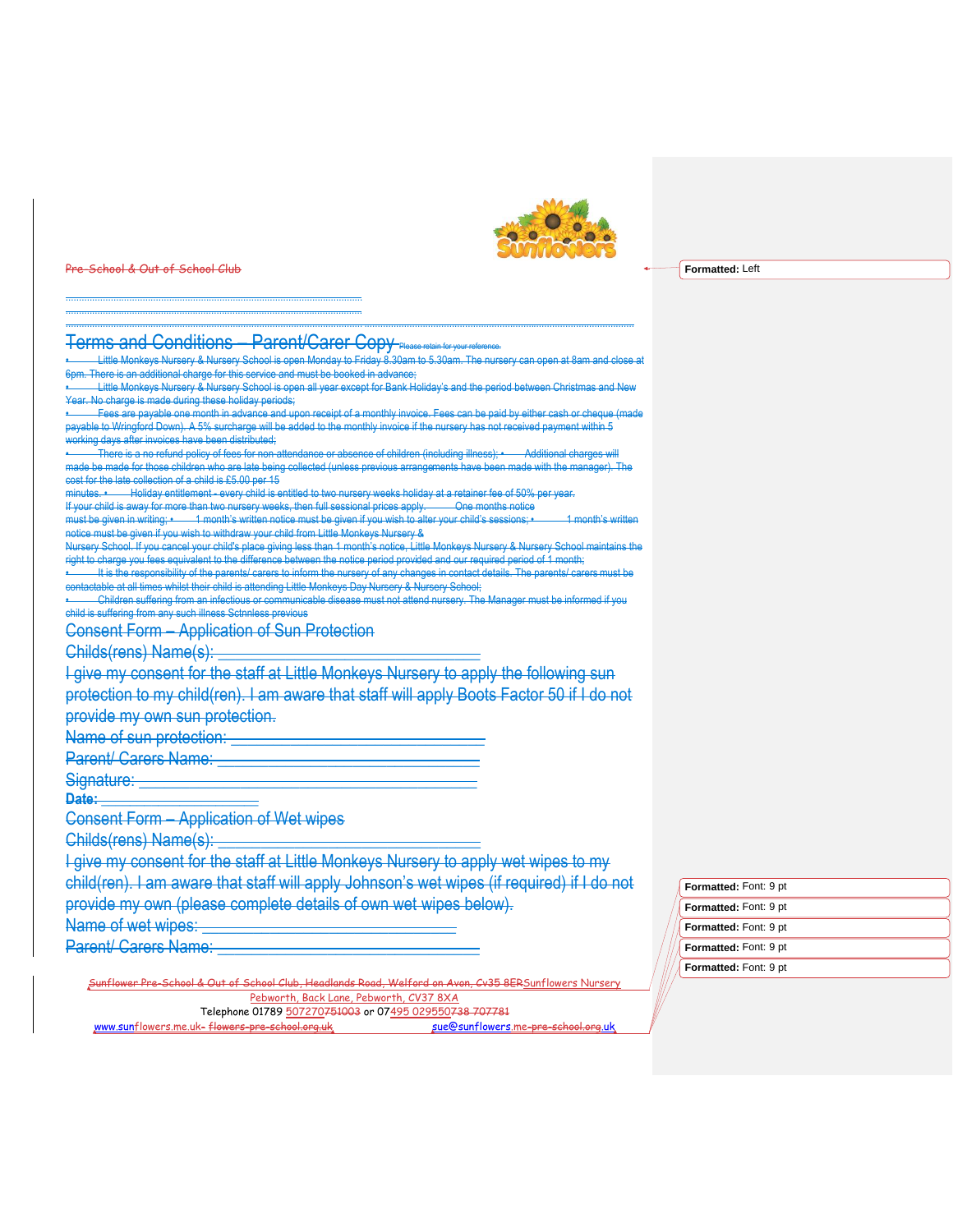

................................................................................................................ ................................................................................................................

# **Terms and Conditions – Parent/Carer Copy**

• Little Monkeys Nursery & Nursery School is open Monday to Friday 8.30am to 5.30am. The nursery can open at 8am and close at is an additional charge for this service and must be booked in advance

................................................................................................................ ......................................................................................................

Monkeys Nursery & Nursery School is open all No charge is made during these holiday periods;<br>Fees are payable one month in advance and ur

• Fees are payable one month in advance and upon receipt of a monthly invoice. Fees can be paid by either cash or cheque (made payable to Wringford Down). A 5% surcharge will be added to the monthly invoice if the nursery has not received payment within 5 ig days after invoices have been distributed;

• There is a no refund policy of fees for non-attendance or absence of children (including illness); • Additional charges will made be made for those children who are late being collected (unless previous arrangements have been made with the manager). The cost for the late collection of a child is £5.00 per 15

Holiday entitlement - every child is entitled to two nursery weeks holiday at a retainer fee of 50% per ye<br>away for more than two nursery weeks, then full sessional prices apply. Che months notice

If your child is away for more than two nursery weeks, then full sessional prices apply.

must be given in writing; • 1 month's written notice must be given if you wish to alter your child's sessions; must be given if you wish to withdraw your child from Little Monkeys Nursery &

School. If you cancel your child's place giving less than 1 month's notice, Little<br>harge you fees equivalent to the difference between the notice neriod provider right to the difference between the notice period provided and our required period of 1 month;<br>he parents/ carers to inform the nursery of any changes in contact details. The parents/ car

It is the responsibility of the parents/ carers to inform the nursery of any changes in contact details ctable at all times whilst their child is attending Little Monkeys Day Nursery & Nursery School;<br>Children suffering from an infectious or communicable disease must not attend nursery. Th

Children suffering from an infectious or commun child is suffering from any such illness Sctnnless previous

Consent Form – Application of Sun Protection

Childs(rens) Name(s):

I give my consent for the staff at Little Monkeys Nursery to apply the following sun protection to my child(ren). I am aware that staff will apply Boots Factor 50 if I do not

provide my own sun protection.

Name of sun protection:

Parent/ Carers Name:

Signature:

Date:

Consent Form – Application of Wet wipes

Childs(rens) Name(s):

I give my consent for the staff at Little Monkeys Nursery to apply wet wipes to my child(ren). I am aware that staff will apply Johnson's wet wipes (if required) if I do not provide my own (please complete details of own wet wipes below).

Name of wet wipes:

Parent/ Carers Name:

Sunflower Pre-School & Out of School Club, Headlands Road, Welford on Avon, Cv35 8ERSunflowers Nursery Pebworth, Back Lane, Pebworth, CV37 8XA

Telephone 01789 507270751003 or 07495 029550738 707781

www.sunflowers.me.uk- <del>flowers-pre-school.org.uk</del> sue@sunflowers.me-

| Formatted: Font: 9 pt |
|-----------------------|
| Formatted: Font: 9 pt |
| Formatted: Font: 9 pt |
| Formatted: Font: 9 pt |
| Formatted: Font: 9 pt |

**Formatted:** Left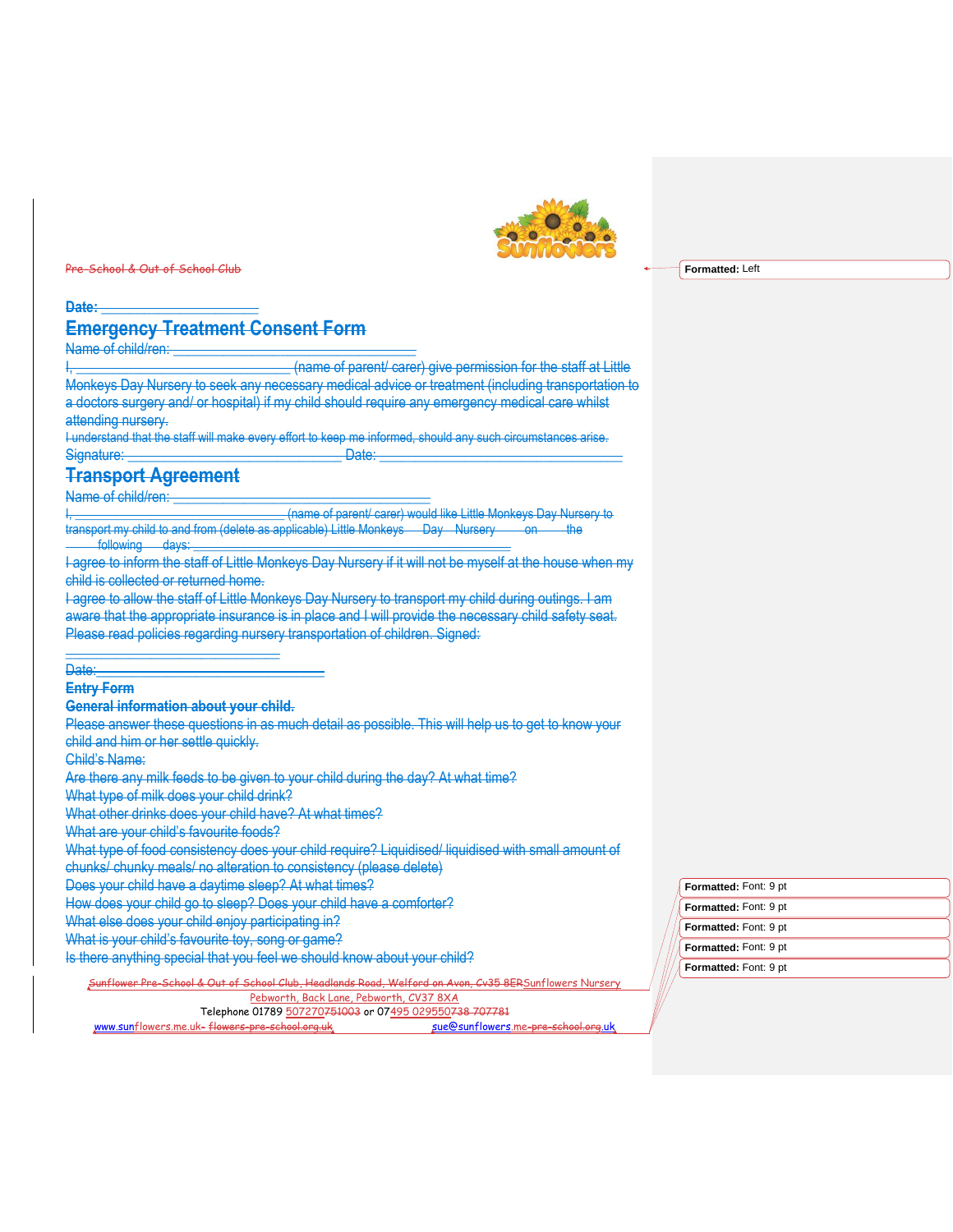

# **Date: \_\_\_\_\_\_\_\_\_\_\_\_\_\_\_\_\_\_\_\_\_\_**

# **Emergency Treatment Consent Form**

Name of child/ren:

(name of parent/ carer) give permission for the staff at Little Monkeys Day Nursery to seek any necessary medical advice or treatment (including transportation to a doctors surgery and/ or hospital) if my child should require any emergency medical care whilst attending nursery.

I understand that the staff will make every effort to keep me informed, should any such circumstances arise. Signature:

# **Transport Agreement**

Name of child/ren:

(name of parent/ carer) would like Little Monkeys Day Nursery to transport my child to and from (delete as applicable) Little Monkeys Day Nursery on the following days

I agree to inform the staff of Little Monkeys Day Nursery if it will not be myself at the house when my child is collected or returned home.

I agree to allow the staff of Little Monkeys Day Nursery to transport my child during outings. I am aware that the appropriate insurance is in place and I will provide the necessary child safety seat. Please read policies regarding nursery transportation of children. Signed:

Date:\_\_\_\_\_\_\_\_\_\_\_\_\_\_\_\_\_\_\_\_\_\_\_\_\_\_\_\_\_\_\_\_ **Entry Form**

**General information about your child.**

 $\overline{\phantom{a}}$  , where  $\overline{\phantom{a}}$  , where  $\overline{\phantom{a}}$  ,  $\overline{\phantom{a}}$  ,  $\overline{\phantom{a}}$  ,  $\overline{\phantom{a}}$  ,  $\overline{\phantom{a}}$  ,  $\overline{\phantom{a}}$  ,  $\overline{\phantom{a}}$  ,  $\overline{\phantom{a}}$  ,  $\overline{\phantom{a}}$  ,  $\overline{\phantom{a}}$  ,  $\overline{\phantom{a}}$  ,  $\overline{\phantom{a}}$  ,  $\overline{\phantom{a}}$  ,

Please answer these questions in as much detail as possible. This will help us to get to know your child and him or her settle quickly.

Child's Name:

Are there any milk feeds to be given to your child during the day? At what time?

What type of milk does your child drink?

What other drinks does your child have? At what times?

What are your child's favourite foods?

What type of food consistency does your child require? Liquidised/ liquidised with small amount of

chunks/ chunky meals/ no alteration to consistency (please delete)

Does your child have a daytime sleep? At what times?

How does your child go to sleep? Does your child have a comforter?

What else does your child enjoy participating in?

What is your child's favourite toy, song or game?

Is there anything special that you feel we should know about your child?

Sunflower Pre-School & Out of School Club, Headlands Road, Welford on Avon, Cv35 8ERSunflowers Nursery

Pebworth, Back Lane, Pebworth, CV37 8XA Telephone 01789 507270751003 or 07495 029550738 707781

www.sunflowers.me.uk- <del>flowers-pre-school.org.uk</del> sue@sunflowers.me-

**Formatted:** Font: 9 pt **Formatted:** Font: 9 pt **Formatted:** Font: 9 pt **Formatted:** Font: 9 pt **Formatted:** Font: 9 pt

**Formatted:** Left